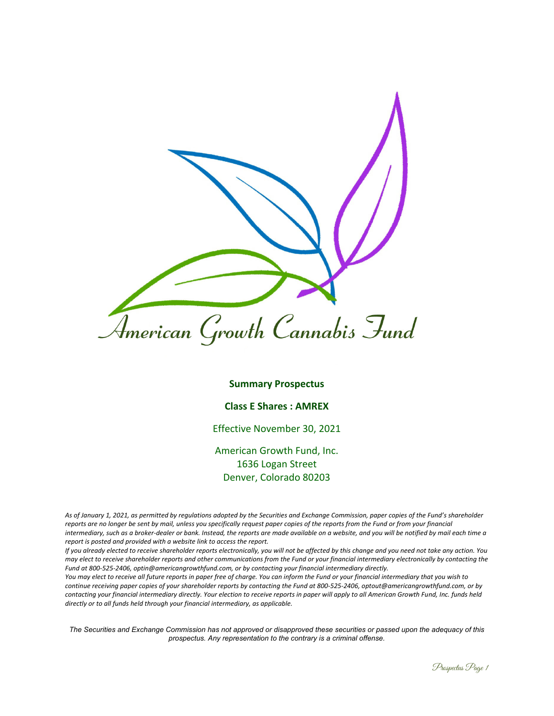

#### **Summary Prospectus**

### **Class E Shares : AMREX**

# Effective November 30, 2021

American Growth Fund, Inc. 1636 Logan Street Denver, Colorado 80203

*As of January 1, 2021, as permitted by regulations adopted by the Securities and Exchange Commission, paper copies of the Fund's shareholder reports are no longer be sent by mail, unless you specifically request paper copies of the reports from the Fund or from your financial intermediary, such as a broker-dealer or bank. Instead, the reports are made available on a website, and you will be notified by mail each time a report is posted and provided with a website link to access the report.* 

*If you already elected to receive shareholder reports electronically, you will not be affected by this change and you need not take any action. You may elect to receive shareholder reports and other communications from the Fund or your financial intermediary electronically by contacting the Fund at 800-525-2406, optin@americangrowthfund.com, or by contacting your financial intermediary directly.* 

*You may elect to receive all future reports in paper free of charge. You can inform the Fund or your financial intermediary that you wish to continue receiving paper copies of your shareholder reports by contacting the Fund at 800-525-2406, optout@americangrowthfund.com, or by contacting your financial intermediary directly. Your election to receive reports in paper will apply to all American Growth Fund, Inc. funds held directly or to all funds held through your financial intermediary, as applicable.* 

*The Securities and Exchange Commission has not approved or disapproved these securities or passed upon the adequacy of this prospectus. Any representation to the contrary is a criminal offense.*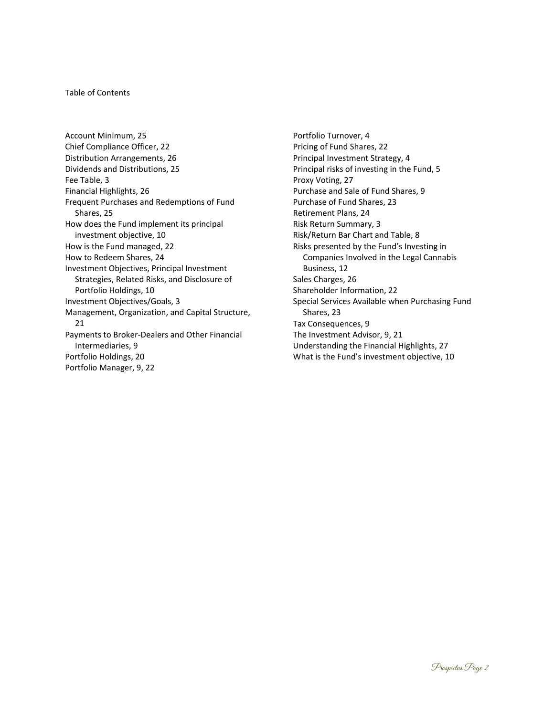#### Table of Contents

Account Minimum, 25 Chief Compliance Officer, 22 Distribution Arrangements, 26 Dividends and Distributions, 25 Fee Table, 3 Financial Highlights, 26 Frequent Purchases and Redemptions of Fund Shares, 25 How does the Fund implement its principal investment objective, 10 How is the Fund managed, 22 How to Redeem Shares, 24 Investment Objectives, Principal Investment Strategies, Related Risks, and Disclosure of Portfolio Holdings, 10 Investment Objectives/Goals, 3 Management, Organization, and Capital Structure, 21 Payments to Broker-Dealers and Other Financial Intermediaries, 9 Portfolio Holdings, 20 Portfolio Manager, 9, 22

Portfolio Turnover, 4 Pricing of Fund Shares, 22 Principal Investment Strategy, 4 Principal risks of investing in the Fund, 5 Proxy Voting, 27 Purchase and Sale of Fund Shares, 9 Purchase of Fund Shares, 23 Retirement Plans, 24 Risk Return Summary, 3 Risk/Return Bar Chart and Table, 8 Risks presented by the Fund's Investing in Companies Involved in the Legal Cannabis Business, 12 Sales Charges, 26 Shareholder Information, 22 Special Services Available when Purchasing Fund Shares, 23 Tax Consequences, 9 The Investment Advisor, 9, 21 Understanding the Financial Highlights, 27 What is the Fund's investment objective, 10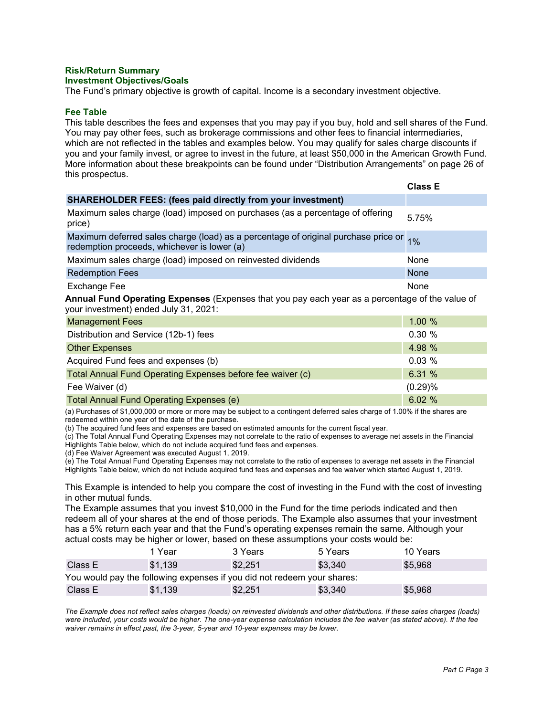#### **Risk/Return Summary Investment Objectives/Goals**

The Fund's primary objective is growth of capital. Income is a secondary investment objective.

# **Fee Table**

This table describes the fees and expenses that you may pay if you buy, hold and sell shares of the Fund. You may pay other fees, such as brokerage commissions and other fees to financial intermediaries, which are not reflected in the tables and examples below. You may qualify for sales charge discounts if you and your family invest, or agree to invest in the future, at least \$50,000 in the American Growth Fund. More information about these breakpoints can be found under "Distribution Arrangements" on page 26 of this prospectus.

|                                                                                                                                                   | <b>Class E</b> |
|---------------------------------------------------------------------------------------------------------------------------------------------------|----------------|
| <b>SHAREHOLDER FEES: (fees paid directly from your investment)</b>                                                                                |                |
| Maximum sales charge (load) imposed on purchases (as a percentage of offering<br>price)                                                           | 5.75%          |
| Maximum deferred sales charge (load) as a percentage of original purchase price or $\frac{1}{1\%}$<br>redemption proceeds, whichever is lower (a) |                |
| Maximum sales charge (load) imposed on reinvested dividends                                                                                       | None           |
| <b>Redemption Fees</b>                                                                                                                            | <b>None</b>    |
| Exchange Fee                                                                                                                                      | None           |
| Annual Fund Operating Expenses (Expenses that you pay each year as a percentage of the value of<br>your investment) ended July 31, 2021:          |                |
|                                                                                                                                                   |                |

| <b>Management Fees</b>                                     | 1.00%   |
|------------------------------------------------------------|---------|
| Distribution and Service (12b-1) fees                      | 0.30%   |
| <b>Other Expenses</b>                                      | 4.98 %  |
| Acquired Fund fees and expenses (b)                        | 0.03%   |
| Total Annual Fund Operating Expenses before fee waiver (c) | 6.31 %  |
| Fee Waiver (d)                                             | (0.29)% |
| Total Annual Fund Operating Expenses (e)                   | 6.02 %  |

(a) Purchases of \$1,000,000 or more or more may be subject to a contingent deferred sales charge of 1.00% if the shares are redeemed within one year of the date of the purchase.

(b) The acquired fund fees and expenses are based on estimated amounts for the current fiscal year.

(c) The Total Annual Fund Operating Expenses may not correlate to the ratio of expenses to average net assets in the Financial Highlights Table below, which do not include acquired fund fees and expenses.

(d) Fee Waiver Agreement was executed August 1, 2019.

(e) The Total Annual Fund Operating Expenses may not correlate to the ratio of expenses to average net assets in the Financial Highlights Table below, which do not include acquired fund fees and expenses and fee waiver which started August 1, 2019.

This Example is intended to help you compare the cost of investing in the Fund with the cost of investing in other mutual funds.

The Example assumes that you invest \$10,000 in the Fund for the time periods indicated and then redeem all of your shares at the end of those periods. The Example also assumes that your investment has a 5% return each year and that the Fund's operating expenses remain the same. Although your actual costs may be higher or lower, based on these assumptions your costs would be:

|                                                                         | 1 Year  | 3 Years | 5 Years | 10 Years |  |  |  |
|-------------------------------------------------------------------------|---------|---------|---------|----------|--|--|--|
| Class E                                                                 | \$1,139 | \$2,251 | \$3,340 | \$5.968  |  |  |  |
| You would pay the following expenses if you did not redeem your shares: |         |         |         |          |  |  |  |
| Class E                                                                 | \$1,139 | \$2,251 | \$3,340 | \$5,968  |  |  |  |

*The Example does not reflect sales charges (loads) on reinvested dividends and other distributions. If these sales charges (loads) were included, your costs would be higher. The one-year expense calculation includes the fee waiver (as stated above). If the fee waiver remains in effect past, the 3-year, 5-year and 10-year expenses may be lower.*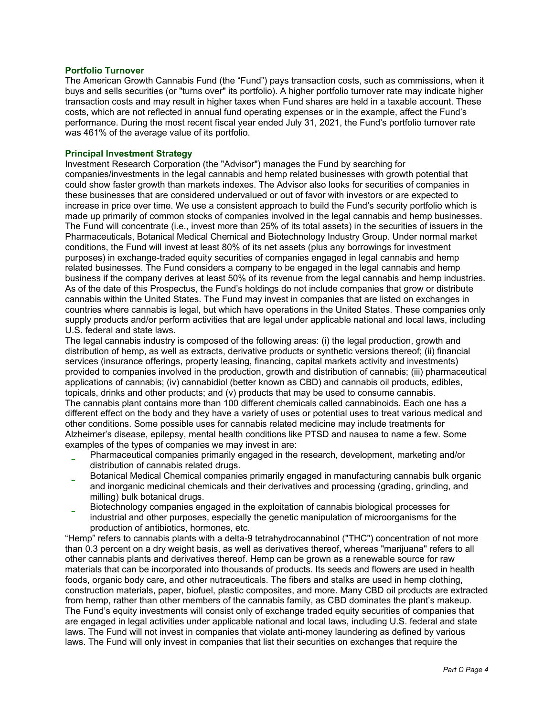# **Portfolio Turnover**

The American Growth Cannabis Fund (the "Fund") pays transaction costs, such as commissions, when it buys and sells securities (or "turns over" its portfolio). A higher portfolio turnover rate may indicate higher transaction costs and may result in higher taxes when Fund shares are held in a taxable account. These costs, which are not reflected in annual fund operating expenses or in the example, affect the Fund's performance. During the most recent fiscal year ended July 31, 2021, the Fund's portfolio turnover rate was 461% of the average value of its portfolio.

### **Principal Investment Strategy**

Investment Research Corporation (the "Advisor") manages the Fund by searching for companies/investments in the legal cannabis and hemp related businesses with growth potential that could show faster growth than markets indexes. The Advisor also looks for securities of companies in these businesses that are considered undervalued or out of favor with investors or are expected to increase in price over time. We use a consistent approach to build the Fund's security portfolio which is made up primarily of common stocks of companies involved in the legal cannabis and hemp businesses. The Fund will concentrate (i.e., invest more than 25% of its total assets) in the securities of issuers in the Pharmaceuticals, Botanical Medical Chemical and Biotechnology Industry Group. Under normal market conditions, the Fund will invest at least 80% of its net assets (plus any borrowings for investment purposes) in exchange-traded equity securities of companies engaged in legal cannabis and hemp related businesses. The Fund considers a company to be engaged in the legal cannabis and hemp business if the company derives at least 50% of its revenue from the legal cannabis and hemp industries. As of the date of this Prospectus, the Fund's holdings do not include companies that grow or distribute cannabis within the United States. The Fund may invest in companies that are listed on exchanges in countries where cannabis is legal, but which have operations in the United States. These companies only supply products and/or perform activities that are legal under applicable national and local laws, including U.S. federal and state laws.

The legal cannabis industry is composed of the following areas: (i) the legal production, growth and distribution of hemp, as well as extracts, derivative products or synthetic versions thereof; (ii) financial services (insurance offerings, property leasing, financing, capital markets activity and investments) provided to companies involved in the production, growth and distribution of cannabis; (iii) pharmaceutical applications of cannabis; (iv) cannabidiol (better known as CBD) and cannabis oil products, edibles, topicals, drinks and other products; and (v) products that may be used to consume cannabis. The cannabis plant contains more than 100 different chemicals called cannabinoids. Each one has a different effect on the body and they have a variety of uses or potential uses to treat various medical and other conditions. Some possible uses for cannabis related medicine may include treatments for Alzheimer's disease, epilepsy, mental health conditions like PTSD and nausea to name a few. Some examples of the types of companies we may invest in are:

- Pharmaceutical companies primarily engaged in the research, development, marketing and/or distribution of cannabis related drugs.
- Botanical Medical Chemical companies primarily engaged in manufacturing cannabis bulk organic and inorganic medicinal chemicals and their derivatives and processing (grading, grinding, and milling) bulk botanical drugs.
- Biotechnology companies engaged in the exploitation of cannabis biological processes for industrial and other purposes, especially the genetic manipulation of microorganisms for the production of antibiotics, hormones, etc.

"Hemp" refers to cannabis plants with a delta-9 tetrahydrocannabinol ("THC") concentration of not more than 0.3 percent on a dry weight basis, as well as derivatives thereof, whereas "marijuana" refers to all other cannabis plants and derivatives thereof. Hemp can be grown as a renewable source for raw materials that can be incorporated into thousands of products. Its seeds and flowers are used in health foods, organic body care, and other nutraceuticals. The fibers and stalks are used in hemp clothing, construction materials, paper, biofuel, plastic composites, and more. Many CBD oil products are extracted from hemp, rather than other members of the cannabis family, as CBD dominates the plant's makeup. The Fund's equity investments will consist only of exchange traded equity securities of companies that are engaged in legal activities under applicable national and local laws, including U.S. federal and state laws. The Fund will not invest in companies that violate anti-money laundering as defined by various laws. The Fund will only invest in companies that list their securities on exchanges that require the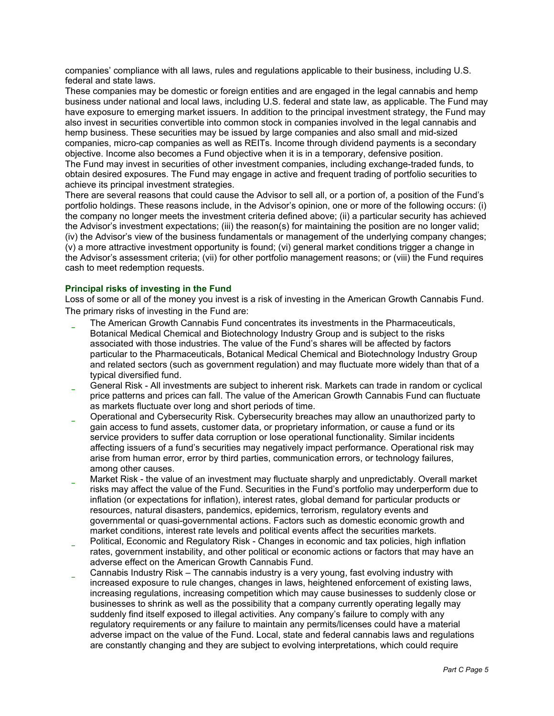companies' compliance with all laws, rules and regulations applicable to their business, including U.S. federal and state laws.

These companies may be domestic or foreign entities and are engaged in the legal cannabis and hemp business under national and local laws, including U.S. federal and state law, as applicable. The Fund may have exposure to emerging market issuers. In addition to the principal investment strategy, the Fund may also invest in securities convertible into common stock in companies involved in the legal cannabis and hemp business. These securities may be issued by large companies and also small and mid-sized companies, micro-cap companies as well as REITs. Income through dividend payments is a secondary objective. Income also becomes a Fund objective when it is in a temporary, defensive position. The Fund may invest in securities of other investment companies, including exchange-traded funds, to obtain desired exposures. The Fund may engage in active and frequent trading of portfolio securities to achieve its principal investment strategies.

There are several reasons that could cause the Advisor to sell all, or a portion of, a position of the Fund's portfolio holdings. These reasons include, in the Advisor's opinion, one or more of the following occurs: (i) the company no longer meets the investment criteria defined above; (ii) a particular security has achieved the Advisor's investment expectations; (iii) the reason(s) for maintaining the position are no longer valid; (iv) the Advisor's view of the business fundamentals or management of the underlying company changes; (v) a more attractive investment opportunity is found; (vi) general market conditions trigger a change in the Advisor's assessment criteria; (vii) for other portfolio management reasons; or (viii) the Fund requires cash to meet redemption requests.

# **Principal risks of investing in the Fund**

Loss of some or all of the money you invest is a risk of investing in the American Growth Cannabis Fund. The primary risks of investing in the Fund are:

- The American Growth Cannabis Fund concentrates its investments in the Pharmaceuticals, Botanical Medical Chemical and Biotechnology Industry Group and is subject to the risks associated with those industries. The value of the Fund's shares will be affected by factors particular to the Pharmaceuticals, Botanical Medical Chemical and Biotechnology Industry Group and related sectors (such as government regulation) and may fluctuate more widely than that of a typical diversified fund.
- \* General Risk All investments are subject to inherent risk. Markets can trade in random or cyclical price patterns and prices can fall. The value of the American Growth Cannabis Fund can fluctuate as markets fluctuate over long and short periods of time.
- Operational and Cybersecurity Risk. Cybersecurity breaches may allow an unauthorized party to gain access to fund assets, customer data, or proprietary information, or cause a fund or its service providers to suffer data corruption or lose operational functionality. Similar incidents affecting issuers of a fund's securities may negatively impact performance. Operational risk may arise from human error, error by third parties, communication errors, or technology failures, among other causes.
- Market Risk the value of an investment may fluctuate sharply and unpredictably. Overall market risks may affect the value of the Fund. Securities in the Fund's portfolio may underperform due to inflation (or expectations for inflation), interest rates, global demand for particular products or resources, natural disasters, pandemics, epidemics, terrorism, regulatory events and governmental or quasi-governmental actions. Factors such as domestic economic growth and market conditions, interest rate levels and political events affect the securities markets.
- Political, Economic and Regulatory Risk Changes in economic and tax policies, high inflation rates, government instability, and other political or economic actions or factors that may have an adverse effect on the American Growth Cannabis Fund.
- Cannabis Industry Risk The cannabis industry is a very young, fast evolving industry with increased exposure to rule changes, changes in laws, heightened enforcement of existing laws, increasing regulations, increasing competition which may cause businesses to suddenly close or businesses to shrink as well as the possibility that a company currently operating legally may suddenly find itself exposed to illegal activities. Any company's failure to comply with any regulatory requirements or any failure to maintain any permits/licenses could have a material adverse impact on the value of the Fund. Local, state and federal cannabis laws and regulations are constantly changing and they are subject to evolving interpretations, which could require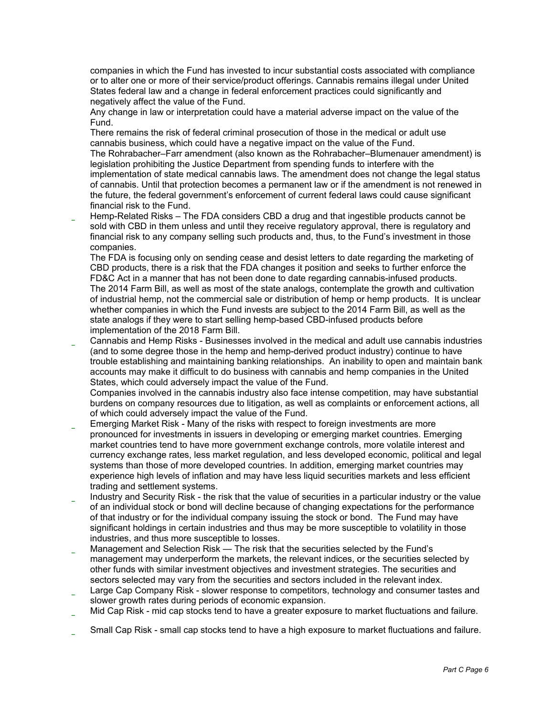companies in which the Fund has invested to incur substantial costs associated with compliance or to alter one or more of their service/product offerings. Cannabis remains illegal under United States federal law and a change in federal enforcement practices could significantly and negatively affect the value of the Fund.

Any change in law or interpretation could have a material adverse impact on the value of the Fund.

There remains the risk of federal criminal prosecution of those in the medical or adult use cannabis business, which could have a negative impact on the value of the Fund.

The Rohrabacher–Farr amendment (also known as the Rohrabacher–Blumenauer amendment) is legislation prohibiting the Justice Department from spending funds to interfere with the implementation of state medical cannabis laws. The amendment does not change the legal status of cannabis. Until that protection becomes a permanent law or if the amendment is not renewed in the future, the federal government's enforcement of current federal laws could cause significant financial risk to the Fund.

Hemp-Related Risks – The FDA considers CBD a drug and that ingestible products cannot be sold with CBD in them unless and until they receive regulatory approval, there is regulatory and financial risk to any company selling such products and, thus, to the Fund's investment in those companies.

The FDA is focusing only on sending cease and desist letters to date regarding the marketing of CBD products, there is a risk that the FDA changes it position and seeks to further enforce the FD&C Act in a manner that has not been done to date regarding cannabis-infused products. The 2014 Farm Bill, as well as most of the state analogs, contemplate the growth and cultivation of industrial hemp, not the commercial sale or distribution of hemp or hemp products. It is unclear whether companies in which the Fund invests are subject to the 2014 Farm Bill, as well as the state analogs if they were to start selling hemp-based CBD-infused products before implementation of the 2018 Farm Bill.

Cannabis and Hemp Risks - Businesses involved in the medical and adult use cannabis industries (and to some degree those in the hemp and hemp-derived product industry) continue to have trouble establishing and maintaining banking relationships. An inability to open and maintain bank accounts may make it difficult to do business with cannabis and hemp companies in the United States, which could adversely impact the value of the Fund.

Companies involved in the cannabis industry also face intense competition, may have substantial burdens on company resources due to litigation, as well as complaints or enforcement actions, all of which could adversely impact the value of the Fund.

- Emerging Market Risk Many of the risks with respect to foreign investments are more pronounced for investments in issuers in developing or emerging market countries. Emerging market countries tend to have more government exchange controls, more volatile interest and currency exchange rates, less market regulation, and less developed economic, political and legal systems than those of more developed countries. In addition, emerging market countries may experience high levels of inflation and may have less liquid securities markets and less efficient trading and settlement systems.
- Industry and Security Risk the risk that the value of securities in a particular industry or the value of an individual stock or bond will decline because of changing expectations for the performance of that industry or for the individual company issuing the stock or bond. The Fund may have significant holdings in certain industries and thus may be more susceptible to volatility in those industries, and thus more susceptible to losses.
- Management and Selection Risk The risk that the securities selected by the Fund's management may underperform the markets, the relevant indices, or the securities selected by other funds with similar investment objectives and investment strategies. The securities and sectors selected may vary from the securities and sectors included in the relevant index.
- Large Cap Company Risk slower response to competitors, technology and consumer tastes and slower growth rates during periods of economic expansion.
- Mid Cap Risk mid cap stocks tend to have a greater exposure to market fluctuations and failure.
- Small Cap Risk small cap stocks tend to have a high exposure to market fluctuations and failure.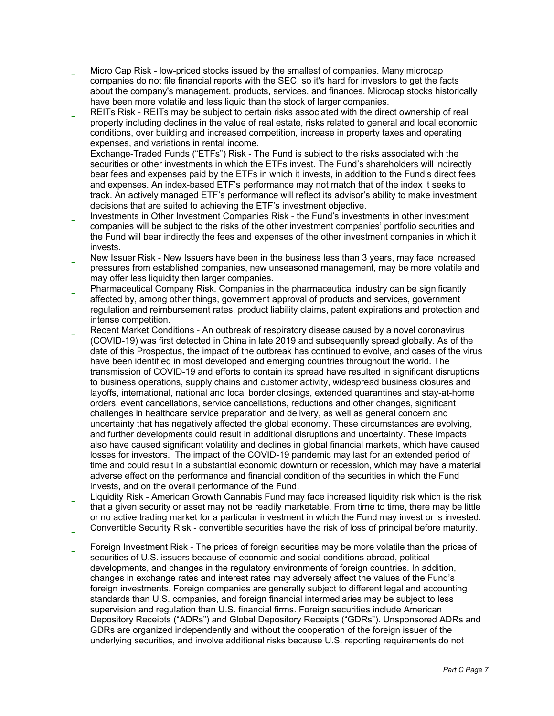- Micro Cap Risk low-priced stocks issued by the smallest of companies. Many microcap companies do not file financial reports with the SEC, so it's hard for investors to get the facts about the company's management, products, services, and finances. Microcap stocks historically have been more volatile and less liquid than the stock of larger companies.
- REITs Risk REITs may be subject to certain risks associated with the direct ownership of real property including declines in the value of real estate, risks related to general and local economic conditions, over building and increased competition, increase in property taxes and operating expenses, and variations in rental income.
- Exchange-Traded Funds ("ETFs") Risk The Fund is subject to the risks associated with the securities or other investments in which the ETFs invest. The Fund's shareholders will indirectly bear fees and expenses paid by the ETFs in which it invests, in addition to the Fund's direct fees and expenses. An index-based ETF's performance may not match that of the index it seeks to track. An actively managed ETF's performance will reflect its advisor's ability to make investment decisions that are suited to achieving the ETF's investment objective.
- Investments in Other Investment Companies Risk the Fund's investments in other investment companies will be subject to the risks of the other investment companies' portfolio securities and the Fund will bear indirectly the fees and expenses of the other investment companies in which it invests.
- New Issuer Risk New Issuers have been in the business less than 3 years, may face increased pressures from established companies, new unseasoned management, may be more volatile and may offer less liquidity then larger companies.
- Pharmaceutical Company Risk. Companies in the pharmaceutical industry can be significantly affected by, among other things, government approval of products and services, government regulation and reimbursement rates, product liability claims, patent expirations and protection and intense competition.
- Recent Market Conditions An outbreak of respiratory disease caused by a novel coronavirus (COVID-19) was first detected in China in late 2019 and subsequently spread globally. As of the date of this Prospectus, the impact of the outbreak has continued to evolve, and cases of the virus have been identified in most developed and emerging countries throughout the world. The transmission of COVID-19 and efforts to contain its spread have resulted in significant disruptions to business operations, supply chains and customer activity, widespread business closures and layoffs, international, national and local border closings, extended quarantines and stay-at-home orders, event cancellations, service cancellations, reductions and other changes, significant challenges in healthcare service preparation and delivery, as well as general concern and uncertainty that has negatively affected the global economy. These circumstances are evolving, and further developments could result in additional disruptions and uncertainty. These impacts also have caused significant volatility and declines in global financial markets, which have caused losses for investors. The impact of the COVID-19 pandemic may last for an extended period of time and could result in a substantial economic downturn or recession, which may have a material adverse effect on the performance and financial condition of the securities in which the Fund invests, and on the overall performance of the Fund.
- Liquidity Risk American Growth Cannabis Fund may face increased liquidity risk which is the risk that a given security or asset may not be readily marketable. From time to time, there may be little or no active trading market for a particular investment in which the Fund may invest or is invested.
- Convertible Security Risk convertible securities have the risk of loss of principal before maturity.
- Foreign Investment Risk The prices of foreign securities may be more volatile than the prices of securities of U.S. issuers because of economic and social conditions abroad, political developments, and changes in the regulatory environments of foreign countries. In addition, changes in exchange rates and interest rates may adversely affect the values of the Fund's foreign investments. Foreign companies are generally subject to different legal and accounting standards than U.S. companies, and foreign financial intermediaries may be subject to less supervision and regulation than U.S. financial firms. Foreign securities include American Depository Receipts ("ADRs") and Global Depository Receipts ("GDRs"). Unsponsored ADRs and GDRs are organized independently and without the cooperation of the foreign issuer of the underlying securities, and involve additional risks because U.S. reporting requirements do not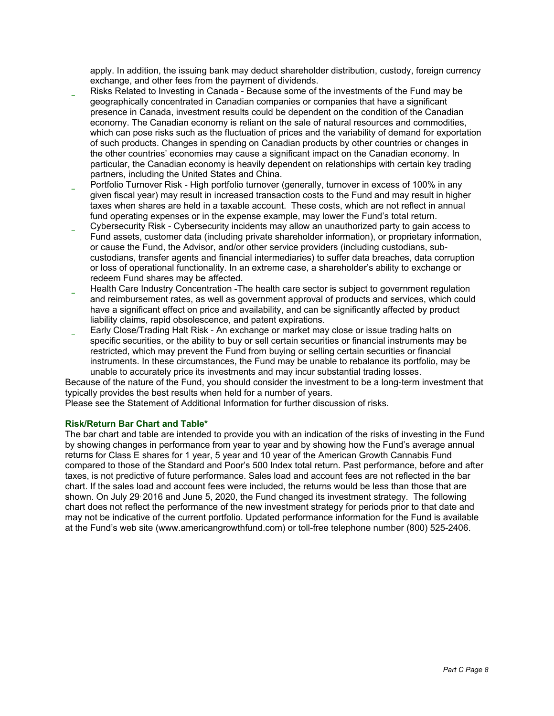apply. In addition, the issuing bank may deduct shareholder distribution, custody, foreign currency exchange, and other fees from the payment of dividends.

- Risks Related to Investing in Canada Because some of the investments of the Fund may be geographically concentrated in Canadian companies or companies that have a significant presence in Canada, investment results could be dependent on the condition of the Canadian economy. The Canadian economy is reliant on the sale of natural resources and commodities, which can pose risks such as the fluctuation of prices and the variability of demand for exportation of such products. Changes in spending on Canadian products by other countries or changes in the other countries' economies may cause a significant impact on the Canadian economy. In particular, the Canadian economy is heavily dependent on relationships with certain key trading partners, including the United States and China.
- Portfolio Turnover Risk High portfolio turnover (generally, turnover in excess of 100% in any given fiscal year) may result in increased transaction costs to the Fund and may result in higher taxes when shares are held in a taxable account. These costs, which are not reflect in annual fund operating expenses or in the expense example, may lower the Fund's total return.
- Cybersecurity Risk Cybersecurity incidents may allow an unauthorized party to gain access to Fund assets, customer data (including private shareholder information), or proprietary information, or cause the Fund, the Advisor, and/or other service providers (including custodians, subcustodians, transfer agents and financial intermediaries) to suffer data breaches, data corruption or loss of operational functionality. In an extreme case, a shareholder's ability to exchange or redeem Fund shares may be affected.
- Health Care Industry Concentration -The health care sector is subject to government regulation and reimbursement rates, as well as government approval of products and services, which could have a significant effect on price and availability, and can be significantly affected by product liability claims, rapid obsolescence, and patent expirations.
- Early Close/Trading Halt Risk An exchange or market may close or issue trading halts on specific securities, or the ability to buy or sell certain securities or financial instruments may be restricted, which may prevent the Fund from buying or selling certain securities or financial instruments. In these circumstances, the Fund may be unable to rebalance its portfolio, may be unable to accurately price its investments and may incur substantial trading losses.

Because of the nature of the Fund, you should consider the investment to be a long-term investment that typically provides the best results when held for a number of years.

Please see the Statement of Additional Information for further discussion of risks.

# **Risk/Return Bar Chart and Table\***

The bar chart and table are intended to provide you with an indication of the risks of investing in the Fund by showing changes in performance from year to year and by showing how the Fund's average annual returns for Class E shares for 1 year, 5 year and 10 year of the American Growth Cannabis Fund compared to those of the Standard and Poor's 500 Index total return. Past performance, before and after taxes, is not predictive of future performance. Sales load and account fees are not reflected in the bar chart. If the sales load and account fees were included, the returns would be less than those that are shown. On July 29, 2016 and June 5, 2020, the Fund changed its investment strategy. The following chart does not reflect the performance of the new investment strategy for periods prior to that date and may not be indicative of the current portfolio. Updated performance information for the Fund is available at the Fund's web site (www.americangrowthfund.com) or toll-free telephone number (800) 525-2406.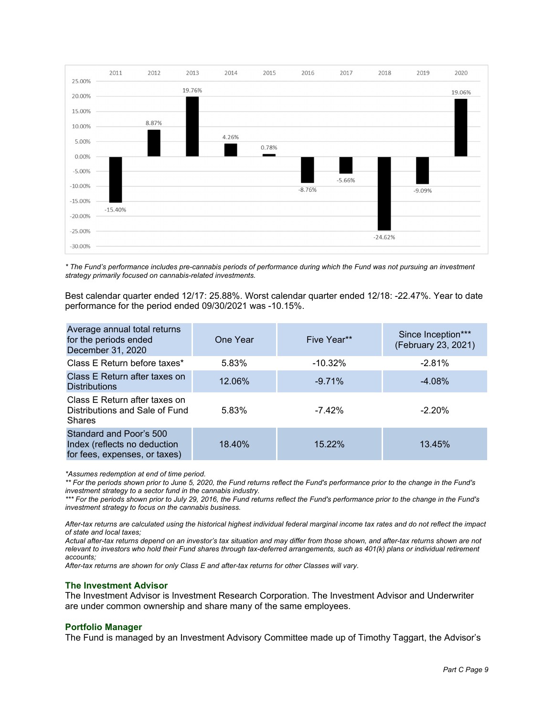

*\* The Fund's performance includes pre-cannabis periods of performance during which the Fund was not pursuing an investment strategy primarily focused on cannabis-related investments.* 

Best calendar quarter ended 12/17: 25.88%. Worst calendar quarter ended 12/18: -22.47%. Year to date performance for the period ended 09/30/2021 was -10.15%.

| Average annual total returns<br>for the periods ended<br>December 31, 2020               | One Year | Five Year** | Since Inception***<br>(February 23, 2021) |
|------------------------------------------------------------------------------------------|----------|-------------|-------------------------------------------|
| Class E Return before taxes*                                                             | 5.83%    | $-10.32%$   | $-2.81%$                                  |
| Class E Return after taxes on<br><b>Distributions</b>                                    | 12.06%   | $-9.71%$    | $-4.08\%$                                 |
| Class E Return after taxes on<br>Distributions and Sale of Fund<br><b>Shares</b>         | 5.83%    | $-7.42\%$   | $-2.20%$                                  |
| Standard and Poor's 500<br>Index (reflects no deduction<br>for fees, expenses, or taxes) | 18.40%   | 15.22%      | 13.45%                                    |

*\*Assumes redemption at end of time period.* 

*\*\* For the periods shown prior to June 5, 2020, the Fund returns reflect the Fund's performance prior to the change in the Fund's investment strategy to a sector fund in the cannabis industry.* 

\*\*\* For the periods shown prior to July 29, 2016, the Fund returns reflect the Fund's performance prior to the change in the Fund's *investment strategy to focus on the cannabis business.* 

*After-tax returns are calculated using the historical highest individual federal marginal income tax rates and do not reflect the impact of state and local taxes;* 

*Actual after-tax returns depend on an investor's tax situation and may differ from those shown, and after-tax returns shown are not relevant to investors who hold their Fund shares through tax-deferred arrangements, such as 401(k) plans or individual retirement accounts;* 

*After-tax returns are shown for only Class E and after-tax returns for other Classes will vary.* 

#### **The Investment Advisor**

The Investment Advisor is Investment Research Corporation. The Investment Advisor and Underwriter are under common ownership and share many of the same employees.

#### **Portfolio Manager**

The Fund is managed by an Investment Advisory Committee made up of Timothy Taggart, the Advisor's